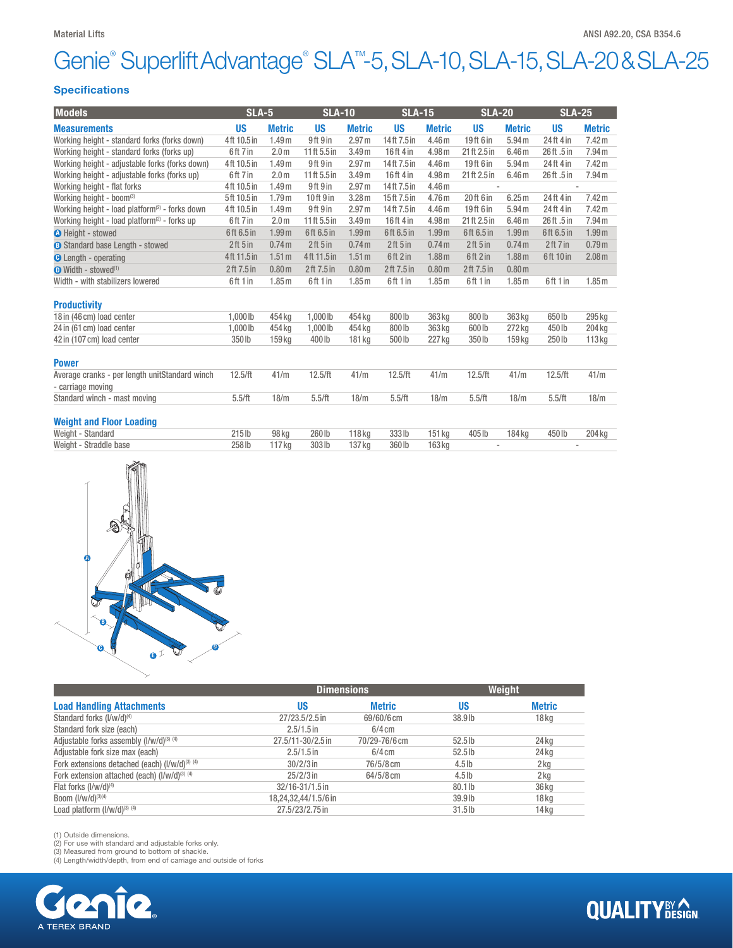# Genie® Superlift Advantage® SLA™-5, SLA-10, SLA-15, SLA-20 & SLA-25

#### Specifications

| <b>Models</b>                                                       | <b>SLA-5</b> |                   | <b>SLA-10</b> |                   | <b>SLA-15</b> |                   | <b>SLA-20</b> |                   | <b>SLA-25</b> |                   |
|---------------------------------------------------------------------|--------------|-------------------|---------------|-------------------|---------------|-------------------|---------------|-------------------|---------------|-------------------|
| <b>Measurements</b>                                                 | <b>US</b>    | <b>Metric</b>     | <b>US</b>     | <b>Metric</b>     | <b>US</b>     | <b>Metric</b>     | <b>US</b>     | <b>Metric</b>     | <b>US</b>     | <b>Metric</b>     |
| Working height - standard forks (forks down)                        | 4ft 10.5 in  | 1.49 <sub>m</sub> | 9ft 9 in      | 2.97 <sub>m</sub> | 14ft 7.5 in   | 4.46 <sub>m</sub> | 19ft 6 in     | 5.94 <sub>m</sub> | 24ft 4 in     | 7.42 m            |
| Working height - standard forks (forks up)                          | 6ft 7 in     | 2.0 <sub>m</sub>  | 11ft 5.5 in   | 3.49 <sub>m</sub> | 16ft 4in      | 4.98 m            | 21ft 2.5 in   | 6.46 <sub>m</sub> | 26ft.5in      | 7.94 <sub>m</sub> |
| Working height - adjustable forks (forks down)                      | 4ft 10.5 in  | 1.49 <sub>m</sub> | 9ft 9 in      | 2.97 <sub>m</sub> | 14ft 7.5 in   | 4.46 <sub>m</sub> | 19ft 6 in     | 5.94 <sub>m</sub> | 24ft 4 in     | 7.42 m            |
| Working height - adjustable forks (forks up)                        | 6ft 7 in     | 2.0 <sub>m</sub>  | 11ft 5.5 in   | 3.49 <sub>m</sub> | 16ft 4in      | 4.98 m            | 21 ft 2.5 in  | 6.46 <sub>m</sub> | 26ft.5in      | 7.94 <sub>m</sub> |
| Working height - flat forks                                         | 4ft 10.5 in  | 1.49 <sub>m</sub> | 9ft 9 in      | 2.97 <sub>m</sub> | 14ft 7.5 in   | 4.46 <sub>m</sub> |               |                   |               |                   |
| Working height - boom <sup>(3)</sup>                                | 5ft 10.5 in  | 1.79 <sub>m</sub> | 10ft 9 in     | 3.28 <sub>m</sub> | 15ft 7.5 in   | 4.76 <sub>m</sub> | 20 ft 6 in    | 6.25m             | 24ft 4 in     | 7.42 <sub>m</sub> |
| Working height - load platform <sup>(2)</sup> - forks down          | 4ft 10.5 in  | 1.49 <sub>m</sub> | 9ft 9 in      | 2.97 <sub>m</sub> | 14ft 7.5 in   | 4.46 <sub>m</sub> | 19ft 6 in     | 5.94 <sub>m</sub> | 24ft 4 in     | 7.42 m            |
| Working height - load platform <sup>(2)</sup> - forks up            | 6ft 7 in     | 2.0 <sub>m</sub>  | 11ft 5.5 in   | 3.49 <sub>m</sub> | 16ft 4in      | 4.98 m            | 21ft 2.5 in   | 6.46 <sub>m</sub> | 26ft.5in      | 7.94 <sub>m</sub> |
| <b>O</b> Height - stowed                                            | 6ft 6.5 in   | 1.99 <sub>m</sub> | 6ft 6.5 in    | 1.99 <sub>m</sub> | 6ft 6.5 in    | 1.99 <sub>m</sub> | 6ft 6.5 in    | 1.99 <sub>m</sub> | 6ft 6.5 in    | 1.99 <sub>m</sub> |
| <b>B</b> Standard base Length - stowed                              | 2ft 5in      | 0.74 <sub>m</sub> | 2ft 5in       | 0.74 <sub>m</sub> | 2ft 5in       | 0.74 <sub>m</sub> | 2ft 5in       | 0.74 <sub>m</sub> | 2ft 7 in      | 0.79 <sub>m</sub> |
| <b>C</b> Length - operating                                         | 4ft 11.5 in  | 1.51 <sub>m</sub> | 4ft 11.5 in   | 1.51 <sub>m</sub> | 6ft 2 in      | 1.88 <sub>m</sub> | 6ft 2 in      | 1.88 <sub>m</sub> | 6ft 10 in     | 2.08 <sub>m</sub> |
| $\bullet$ Width - stowed <sup>(1)</sup>                             | 2ft 7.5 in   | 0.80 <sub>m</sub> | 2ft 7.5 in    | 0.80 <sub>m</sub> | 2ft 7.5 in    | 0.80 <sub>m</sub> | 2ft 7.5 in    | 0.80 <sub>m</sub> |               |                   |
| Width - with stabilizers lowered                                    | 6ft 1 in     | 1.85 <sub>m</sub> | 6ft 1 in      | 1.85 <sub>m</sub> | 6ft 1 in      | 1.85 <sub>m</sub> | 6ft 1 in      | 1.85 <sub>m</sub> | 6ft 1 in      | 1.85 <sub>m</sub> |
| <b>Productivity</b>                                                 |              |                   |               |                   |               |                   |               |                   |               |                   |
| 18 in (46 cm) load center                                           | 1.000 lb     | 454 kg            | 1.000 lb      | 454 kg            | 800 lb        | 363 kg            | 800 lb        | 363 kg            | 650lb         | 295 kg            |
| 24 in (61 cm) load center                                           | 1.000 lb     | 454 kg            | 1,000 lb      | 454 kg            | 800 lb        | 363 kg            | 600 lb        | 272 kg            | 450lb         | 204 kg            |
| 42 in (107 cm) load center                                          | 350 lb       | 159 kg            | 400 lb        | 181 kg            | 500 lb        | 227 kg            | 350 lb        | 159 kg            | 250lb         | 113 kg            |
| <b>Power</b>                                                        |              |                   |               |                   |               |                   |               |                   |               |                   |
| Average cranks - per length unitStandard winch<br>- carriage moving | 12.5/ft      | 41/m              | 12.5/ft       | 41/m              | 12.5/ft       | 41/m              | 12.5/ft       | 41/m              | 12.5/ft       | 41/m              |
| Standard winch - mast moving                                        | 5.5/ft       | 18/m              | 5.5/ft        | 18/m              | 5.5/ft        | 18/m              | 5.5/ft        | 18/m              | 5.5/ft        | 18/m              |
| <b>Weight and Floor Loading</b>                                     |              |                   |               |                   |               |                   |               |                   |               |                   |
| Weight - Standard                                                   | $215$ lb     | 98 kg             | 260 lb        | $118$ kg          | 333 lb        | 151 kg            | 405 lb        | 184 kg            | 450lb         | 204 kg            |
| Weight - Straddle base                                              | 258 lb       | 117 kg            | 303 lb        | 137 kg            | 360 lb        | 163 kg            |               |                   |               |                   |



|                                                            | <b>Dimensions</b>    |               |           | Weight           |
|------------------------------------------------------------|----------------------|---------------|-----------|------------------|
| <b>Load Handling Attachments</b>                           | US                   | <b>Metric</b> | US        | <b>Metric</b>    |
| Standard forks (I/w/d) <sup>(4)</sup>                      | 27/23.5/2.5 in       | 69/60/6 cm    | $38.9$ lb | 18 <sub>kq</sub> |
| Standard fork size (each)                                  | $2.5/1.5$ in         | $6/4$ cm      |           |                  |
| Adjustable forks assembly (I/w/d) <sup>(3)</sup> (4)       | 27.5/11-30/2.5 in    | 70/29-76/6 cm | $52.5$ lb | 24 <sub>kg</sub> |
| Adjustable fork size max (each)                            | $2.5/1.5$ in         | $6/4$ cm      | $52.5$ lb | 24 <sub>kg</sub> |
| Fork extensions detached (each) (I/w/d) <sup>(3) (4)</sup> | $30/2/3$ in          | 76/5/8 cm     | $4.5$ lb  | 2 kg             |
| Fork extension attached (each) (I/w/d) <sup>(3) (4)</sup>  | $25/2/3$ in          | $64/5/8$ cm   | $4.5$ lb  | 2 kg             |
| Flat forks $(I/w/d)^{(4)}$                                 | 32/16-31/1.5 in      |               | $80.1$ lb | 36 kg            |
| Boom $(I/w/d)^{(3)(4)}$                                    | 18,24,32,44/1.5/6 in |               | $39.9$ lb | 18 <sub>kq</sub> |
| Load platform (I/w/d) <sup>(3)</sup> (4)                   | 27.5/23/2.75 in      |               | $31.5$ lb | 14 <sub>kg</sub> |

(1) Outside dimensions. (2) For use with standard and adjustable forks only.

(3) Measured from ground to bottom of shackle. (4) Length/width/depth, from end of carriage and outside of forks